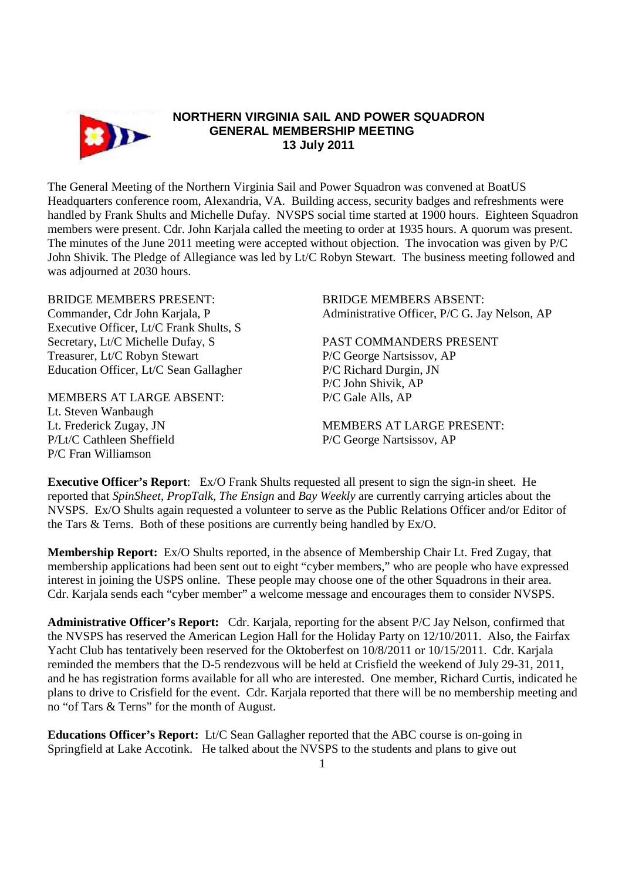

## **NORTHERN VIRGINIA SAIL AND POWER SQUADRON GENERAL MEMBERSHIP MEETING 13 July 2011**

The General Meeting of the Northern Virginia Sail and Power Squadron was convened at BoatUS Headquarters conference room, Alexandria, VA. Building access, security badges and refreshments were handled by Frank Shults and Michelle Dufay. NVSPS social time started at 1900 hours. Eighteen Squadron members were present. Cdr. John Karjala called the meeting to order at 1935 hours. A quorum was present. The minutes of the June 2011 meeting were accepted without objection. The invocation was given by P/C John Shivik. The Pledge of Allegiance was led by Lt/C Robyn Stewart. The business meeting followed and was adjourned at 2030 hours.

BRIDGE MEMBERS PRESENT: BRIDGE MEMBERS ABSENT: Executive Officer, Lt/C Frank Shults, S Secretary, Lt/C Michelle Dufay, S<br>
PAST COMMANDERS PRESENT Treasurer, Lt/C Robyn Stewart P/C George Nartsissov, AP Education Officer, Lt/C Sean Gallagher P/C Richard Durgin, JN

MEMBERS AT LARGE ABSENT: P/C Gale Alls, AP Lt. Steven Wanbaugh P/Lt/C Cathleen Sheffield P/C George Nartsissov, AP P/C Fran Williamson

Commander, Cdr John Karjala, P Administrative Officer, P/C G. Jay Nelson, AP

P/C John Shivik, AP

Lt. Frederick Zugay, JN MEMBERS AT LARGE PRESENT:

**Executive Officer's Report**: Ex/O Frank Shults requested all present to sign the sign-in sheet. He reported that *SpinSheet, PropTalk, The Ensign* and *Bay Weekly* are currently carrying articles about the NVSPS. Ex/O Shults again requested a volunteer to serve as the Public Relations Officer and/or Editor of the Tars & Terns. Both of these positions are currently being handled by Ex/O.

**Membership Report:** Ex/O Shults reported, in the absence of Membership Chair Lt. Fred Zugay, that membership applications had been sent out to eight "cyber members," who are people who have expressed interest in joining the USPS online. These people may choose one of the other Squadrons in their area. Cdr. Karjala sends each "cyber member" a welcome message and encourages them to consider NVSPS.

**Administrative Officer's Report:** Cdr. Karjala, reporting for the absent P/C Jay Nelson, confirmed that the NVSPS has reserved the American Legion Hall for the Holiday Party on 12/10/2011. Also, the Fairfax Yacht Club has tentatively been reserved for the Oktoberfest on 10/8/2011 or 10/15/2011. Cdr. Karjala reminded the members that the D-5 rendezvous will be held at Crisfield the weekend of July 29-31, 2011, and he has registration forms available for all who are interested. One member, Richard Curtis, indicated he plans to drive to Crisfield for the event. Cdr. Karjala reported that there will be no membership meeting and no "of Tars & Terns" for the month of August.

**Educations Officer's Report:** Lt/C Sean Gallagher reported that the ABC course is on-going in Springfield at Lake Accotink. He talked about the NVSPS to the students and plans to give out